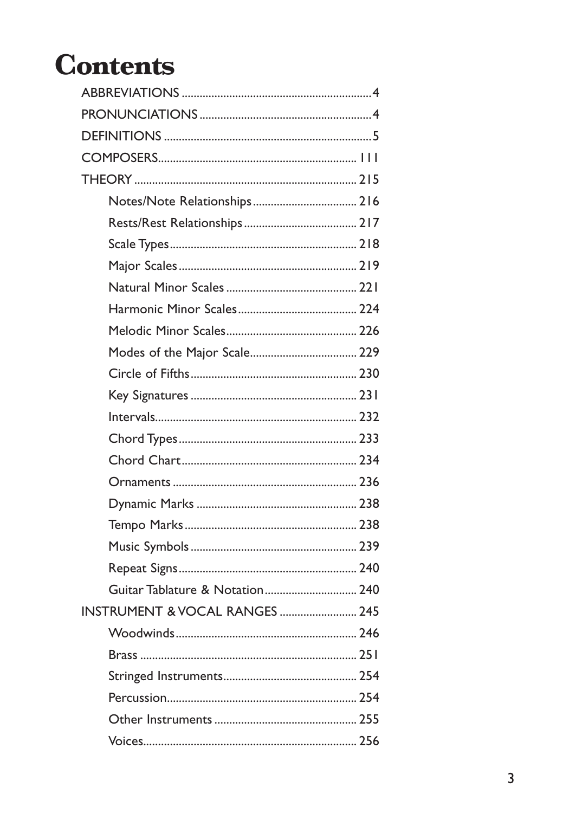# **Contents**

| Guitar Tablature & Notation 240 |
|---------------------------------|
| INSTRUMENT & VOCAL RANGES  245  |
|                                 |
|                                 |
|                                 |
|                                 |
|                                 |
|                                 |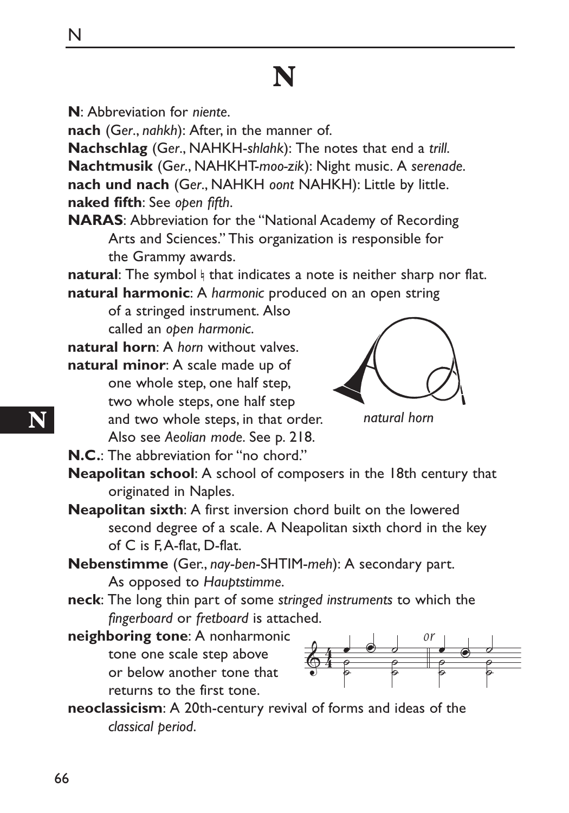# **N**

**N**: Abbreviation for *niente*.

**nach** (G*er*., *nahkh*): After, in the manner of.

**Nachschlag** (G*er*., NAHKH-*shlahk*): The notes that end a *trill*. **Nachtmusik** (G*er*., NAHKHT-*moo-zik*): Night music. A *serenade*. **nach und nach** (G*er*., NAHKH *oont* NAHKH): Little by little. **naked fifth**: See *open fifth*.

**NARAS**: Abbreviation for the "National Academy of Recording Arts and Sciences." This organization is responsible for the Grammy awards.

natural: The symbol h that indicates a note is neither sharp nor flat.

**natural harmonic**: A *harmonic* produced on an open string

of a stringed instrument. Also called an *open harmonic*.

**natural horn**: A *horn* without valves.

**natural minor**: A scale made up of one whole step, one half step, two whole steps, one half step and two whole steps, in that order. Also see *Aeolian mode*. See p. 218.



*natural horn*

**N.C.**: The abbreviation for "no chord."

**Neapolitan school**: A school of composers in the 18th century that originated in Naples.

**Neapolitan sixth**: A first inversion chord built on the lowered second degree of a scale. A Neapolitan sixth chord in the key of C is F, A-flat, D-flat.

**Nebenstimme** (Ger., *nay*-*ben*-SHTIM-*meh*): A secondary part. As opposed to *Hauptstimme*.

**neck**: The long thin part of some *stringed instruments* to which the *fingerboard* or *fretboard* is attached.

**neighboring tone**: A nonharmonic tone one scale step above or below another tone that returns to the first tone.



**neoclassicism**: A 20th-century revival of forms and ideas of the *classical period*.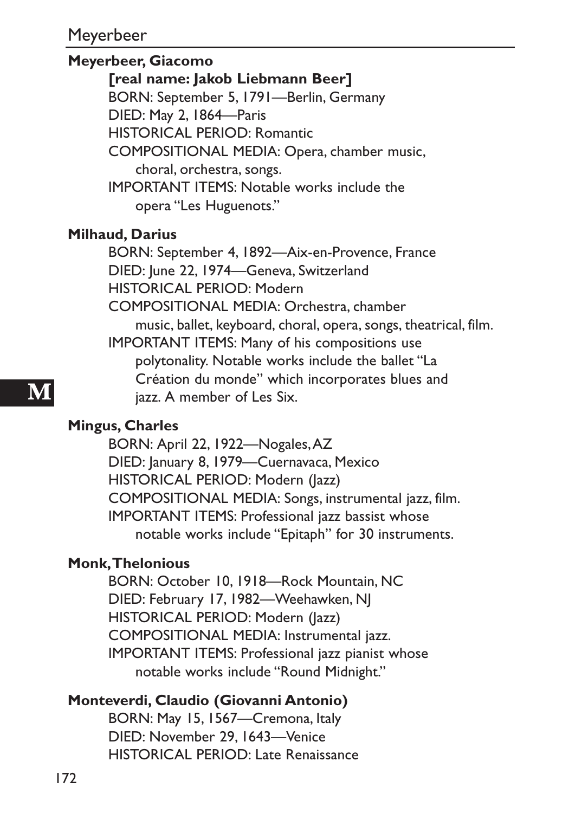#### **Meyerbeer, Giacomo**

#### **[real name: Jakob Liebmann Beer]**

BORN: September 5, 1791—Berlin, Germany

DIED: May 2, 1864—Paris

HISTORICAL PERIOD: Romantic

COMPOSITIONAL MEDIA: Opera, chamber music,

choral, orchestra, songs.

IMPORTANT ITEMS: Notable works include the opera "Les Huguenots."

#### **Milhaud, Darius**

BORN: September 4, 1892—Aix-en-Provence, France DIED: June 22, 1974—Geneva, Switzerland HISTORICAL PERIOD: Modern COMPOSITIONAL MEDIA: Orchestra, chamber music, ballet, keyboard, choral, opera, songs, theatrical, film. IMPORTANT ITEMS: Many of his compositions use polytonality. Notable works include the ballet "La Création du monde" which incorporates blues and jazz. A member of Les Six.

#### **Mingus, Charles**

BORN: April 22, 1922—Nogales, AZ DIED: January 8, 1979—Cuernavaca, Mexico HISTORICAL PERIOD: Modern (Jazz) COMPOSITIONAL MEDIA: Songs, instrumental jazz, film. IMPORTANT ITEMS: Professional jazz bassist whose notable works include "Epitaph" for 30 instruments.

#### **Monk, Thelonious**

BORN: October 10, 1918—Rock Mountain, NC DIED: February 17, 1982—Weehawken, NJ HISTORICAL PERIOD: Modern (Jazz) COMPOSITIONAL MEDIA: Instrumental jazz. IMPORTANT ITEMS: Professional jazz pianist whose notable works include "Round Midnight."

#### **Monteverdi, Claudio (Giovanni Antonio)**

BORN: May 15, 1567—Cremona, Italy DIED: November 29, 1643—Venice HISTORICAL PERIOD: Late Renaissance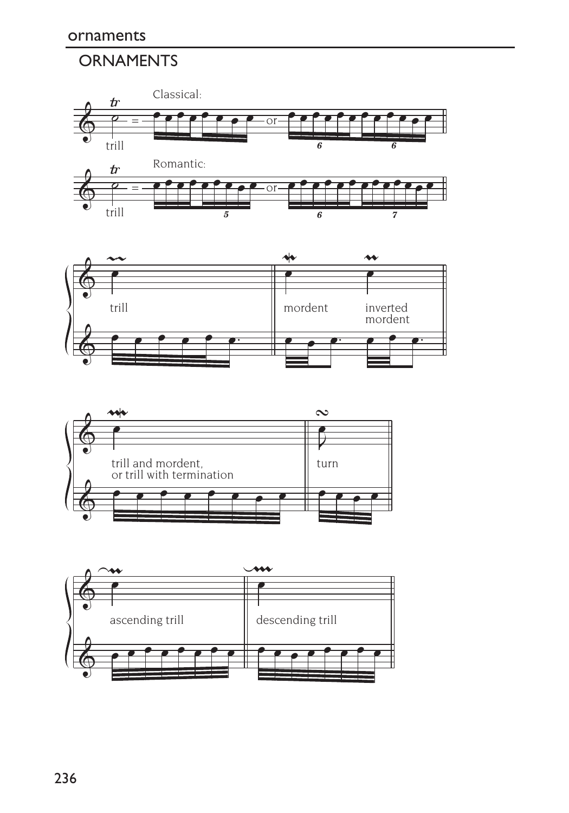### **ORNAMENTS**